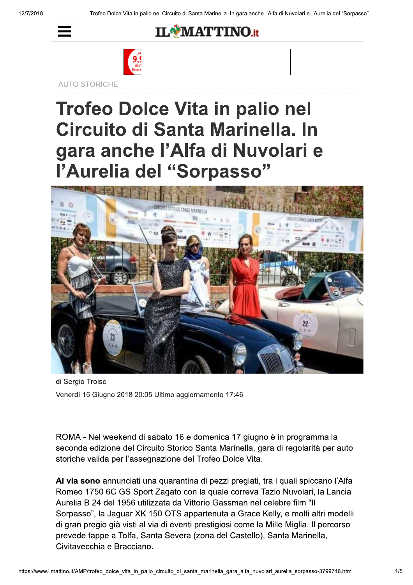



**AUTO STORICHE** 

## **Trofeo Dolce Vita in palio nel** Circuito di Santa Marinella. In gara anche l'Alfa di Nuvolari e<br>l'Aurelia del "Sorpasso"



di Sergio Troise Venerdì 15 Giugno 2018 20:05 Ultimo aggiornamento 17:46

ROMA - Nel weekend di sabato 16 e domenica 17 giugno è in programma la seconda edizione del Circuito Storico Santa Marinella, gara di regolarità per auto storiche valida per l'assegnazione del Trofeo Dolce Vita.

Al via sono annunciati una quarantina di pezzi pregiati, tra i quali spiccano l'Alfa Romeo 1750 6C GS Sport Zagato con la quale correva Tazio Nuvolari, la Lancia Aurelia B 24 del 1956 utilizzata da Vittorio Gassman nel celebre film "Il Sorpasso", la Jaguar XK 150 OTS appartenuta a Grace Kelly, e molti altri modelli di gran pregio già visti al via di eventi prestigiosi come la Mille Miglia. Il percorso prevede tappe a Tolfa, Santa Severa (zona del Castello), Santa Marinella, Civitavecchia e Bracciano.